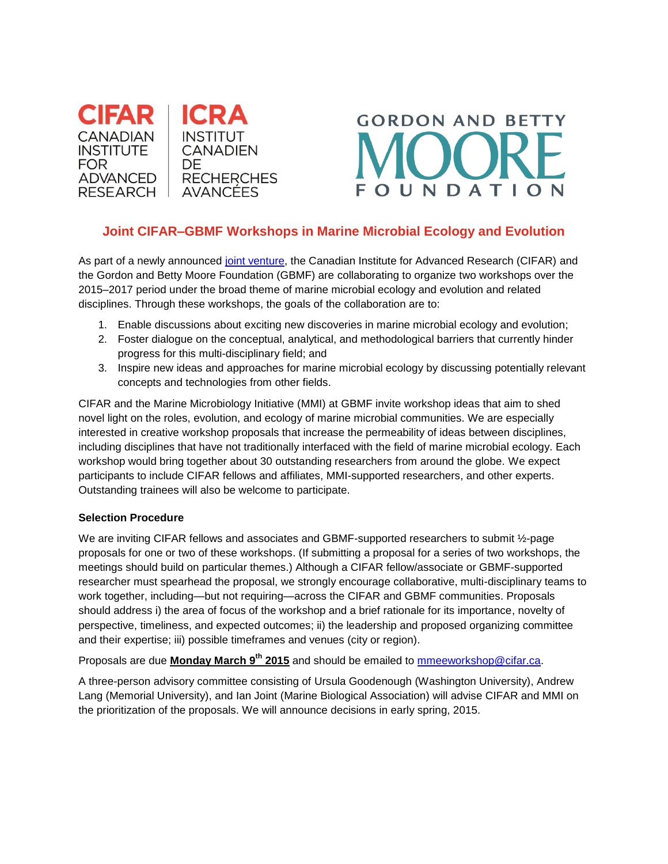



## **Joint CIFAR–GBMF Workshops in Marine Microbial Ecology and Evolution**

As part of a newly announced [joint venture,](http://www.cifar.ca/cifar-and-gordon-and-betty-moore-foundation-launch-joint-venture-to-expand-scientific-collaborations) the Canadian Institute for Advanced Research (CIFAR) and the Gordon and Betty Moore Foundation (GBMF) are collaborating to organize two workshops over the 2015–2017 period under the broad theme of marine microbial ecology and evolution and related disciplines. Through these workshops, the goals of the collaboration are to:

- 1. Enable discussions about exciting new discoveries in marine microbial ecology and evolution;
- 2. Foster dialogue on the conceptual, analytical, and methodological barriers that currently hinder progress for this multi-disciplinary field; and
- 3. Inspire new ideas and approaches for marine microbial ecology by discussing potentially relevant concepts and technologies from other fields.

CIFAR and the Marine Microbiology Initiative (MMI) at GBMF invite workshop ideas that aim to shed novel light on the roles, evolution, and ecology of marine microbial communities. We are especially interested in creative workshop proposals that increase the permeability of ideas between disciplines, including disciplines that have not traditionally interfaced with the field of marine microbial ecology. Each workshop would bring together about 30 outstanding researchers from around the globe. We expect participants to include CIFAR fellows and affiliates, MMI-supported researchers, and other experts. Outstanding trainees will also be welcome to participate.

## **Selection Procedure**

We are inviting CIFAR fellows and associates and GBMF-supported researchers to submit 1/2-page proposals for one or two of these workshops. (If submitting a proposal for a series of two workshops, the meetings should build on particular themes.) Although a CIFAR fellow/associate or GBMF-supported researcher must spearhead the proposal, we strongly encourage collaborative, multi-disciplinary teams to work together, including—but not requiring—across the CIFAR and GBMF communities. Proposals should address i) the area of focus of the workshop and a brief rationale for its importance, novelty of perspective, timeliness, and expected outcomes; ii) the leadership and proposed organizing committee and their expertise; iii) possible timeframes and venues (city or region).

Proposals are due **Monday March 9th 2015** and should be emailed to [mmeeworkshop@cifar.ca.](mailto:mmeeworkshop@cifar.ca)

A three-person advisory committee consisting of Ursula Goodenough (Washington University), Andrew Lang (Memorial University), and Ian Joint (Marine Biological Association) will advise CIFAR and MMI on the prioritization of the proposals. We will announce decisions in early spring, 2015.